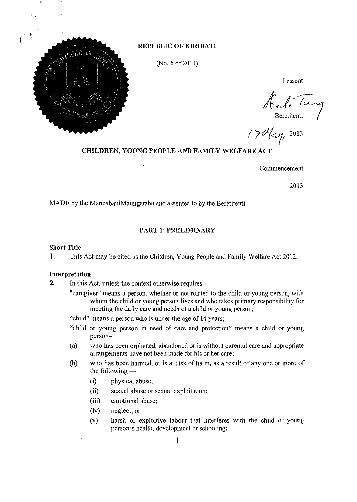

#### *c* **REPUBLIC OF KIRIBATI**

(No. 6 of 2013)

I assent

Ando Tung<br>Beretitenti<br>( 7 May<sub>1</sub>, 2013

## **CHILDREN, YOUNG PEOPLE AND FAMILY WELFARE ACT**

Commencement

2013

MADE by the ManeabaniMaungatabu and assented to by the Beretitenti

#### **PART 1: PRELIMINARY**

## **Short Title**

1. This Act may be cited as the Children, Young People and Family Welfare Act 2012.

#### **Interpretation**

**2.** In this Act, unless the context otherwise requires-

"caregiver" means a person, whether or not related to the child or young person, with whom the child or young person lives and who takes primary responsibility for meeting the daily care and needs of a child or young person;

"child" means a person who is under the age of 14 years;

- "child or young person in need of care and protection" means a child or young person-
- (a) who has been orphaned, abandoned or is without parental care and appropriate arrangements have not been made for his or her care;
- (b) who has been harmed, or is at risk of harm, as a result of anyone or more of the following  $-$ 
	- (i) physical abuse;
	- (ii) sexual abuse or sexual exploitation;
	- (iii) emotional abuse;
	- (iv) neglect; or
	- (v) harsh or exploitive labour that interferes with the child or young person's health, development or schooling;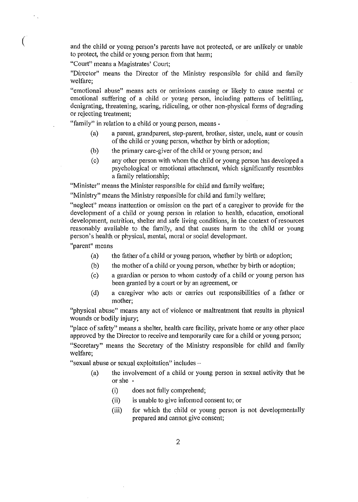and the child or young person's parents have not protected, or are unlikely or unable to protect, the child or young person from that harm;

"Court" means a Magistrates' Court:

"Director" means the Director of the Ministry responsible for child and family welfare;

"emotional abuse" means acts or omissions causing or likely to cause mental or emotional suffering of a child or young person, including patterns of belittling, denigrating, threatening, scaring, ridiculing, or other non-physical forms of degrading or rejecting treatment;

"family" in relation to a child or young person, means -

- (a) a parent, grandparent, step-parent, brother, sister, uncle, aunt or cousin of the child or young person, whether by birth or adoption;
- (b) the primary care-giver of the child or young person; and
- (c) any other person with whom the child or young person has developed a psychological or emotional attachment, which significantly resembles a family relationship;

"Minister" means the Minister responsible for child and family welfare;

"Ministry" means the Ministry responsible for child and family welfare;

"neglect" means inattention or omission on the part of a caregiver to provide for the development of a child or young person in relation to health, education, emotional development, nutrition, shelter and safe living conditions, in the context of resources reasonably available to the family, and that causes harm to the child or young person's health or physical, mental, moral or social development.

**"parent" Ineans** 

- (a) the father of a child or young person, whether by birth or adoption;
- (b) the mother of a child or young person, whether by birth or adoption;
- (c) a guardian or person to whom custody of a child or young person has been granted by a court or by an agreement, or
- (d) a caregiver who acts or carries out responsibilities of a father or mother;

"physical abuse" means any act of violence or maltreatment that results in physical wounds or bodily injury;

"place of safety" means a shelter, health care facility, private home or any other place approved by the Director to receive and temporarily care for a child or young person;

"Secretary" means the Secretary of the Ministry responsible for child and family welfare;

"sexual abuse or sexual exploitation" includes-

- (a) the involvement of a child or young person in sexual activity that he or she
	- (i) does not fully comprehend;
	- (ii) is unable to give informed consent to; or
	- (iii) for which the child or young person is not developmentally prepared and cannot give consent;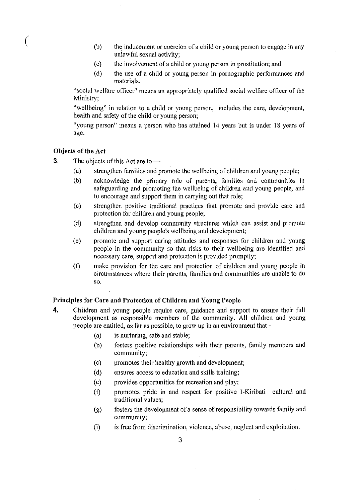- (b) the inducement or coercion of a child or young person to engage in any unlawful sexual activity;
- (c) the involvement of a child or young person in prostitution; and
- (d) the use of a child or young person in pornographic performances and materials.

"social welfare officer" means an appropriately qualified social welfare officer of the Ministry;

"wellbeing" in relation to a child or young person, includes the care, development, health and safety of the child or young person;

"young person" means a person who has attained 14 years but is under 18 years of age.

## Objects of the Act

- 3. The objects of this Act are to  $-$ 
	- (a) strengthen families and promote the wellbeing of children and young people;
	- (b) acknowledge the primary role of parents, families and communities in safeguarding and promoting the wellbeing of children and young people, and to encourage and support them in carrying out that role;
	- (c) strengthen positive traditional practices that promote and provide care and protection for children and young people;
	- (d) strengthen and develop community structures which can assist and promote children and young people's wellbeing and development;
	- (e) promote and support caring attitudes and responses for children and young people in the community so that risks to their wellbeing are identified and necessary care, support and protection is provided promptly;
	- (f) make provision for the care and protection of children and young people in circumstances where their parents, families and communities are unable to do so.

#### Principles for Care and Protection of Children and Young People

- 4. Children and young people require care, guidance and support to ensure their full development as responsible members of the community. All children and young people are entitled, as far as possible, to grow up in an environment that-
	- $(a)$  is nurturing, safe and stable;
	- (b) fosters positive relationships with their parents, family members and community;
	- (c) promotes their healthy growth and development;
	- (d) ensures access to education and skills training;
	- (e) provides opportunities for recreation and play;
	- (f) promotes pride in and respect for positive I-Kiribati cultural and traditional values;
	- (g) fosters the development of a sense ofresponsibility towards family and community;
	- (i) is free from discrimination, violence, abuse, neglect and exploitation.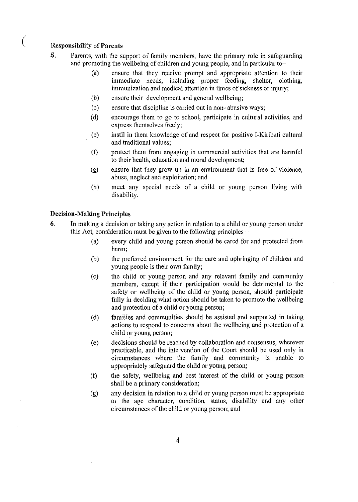## ( Responsibility of Parents

- 5. Parents, with the support of family members, have the primary role in safeguarding and promoting the wellbeing of children and young people, and in particular to-
	- (a) ensure that they receive prompt and appropriate attention to their immediate needs, including proper feeding, shelter, clothing, immunization and medical attention in times of sickness or injury;
	- (b) ensure their development and general wellbeing;
	- (c) ensure that discipline is carried out in non- abusive ways;
	- (d) encourage them to go to school, participate in cultural activities, and express themselves freely;
	- (e) instil in them knowledge of and respect for positive I-Kiribati cultural and traditional values;
	- (f) protect them from engaging in commercial activities that are harmful to their health, education and moral development;
	- (g) ensure that they grow up in an environment that is free of violence, abuse, neglect and exploitation; and
	- (h) meet any special needs of a child or young person living with disability.

## Decision-Making Principles

- 6. In making a decision or taking any action in relation to a child or young person under this Act, consideration must be given to the following principles  $-$ 
	- (a) every child and young person should be cared for and protected from harm;
	- (b) the preferred environment for the care and npbringing of children and yonng people is their own family;
	- (c) the child or young person and any relevant family and community members, except if their participation would be detrimental to the safety or wellbeing of the child or young person, should participate fully in deciding what action should be taken to promote the wellbeing and protection of a child or young person;
	- (d) families and communities should be assisted and supported in taking actions to respond to concerns about the wellbeing and protection of a child or young person;
	- (e) decisions should be reached by collaboration and consensus, wherever practicable, and the intervention of the Court should be used only in circumstances where the family and community is unable to appropriately safeguard the child or young person;
	- (f) the safety, wellbeing and best interest of the child or young person shall be a primary consideration;
	- (g) any decision in relation to a child or young person must be appropriate to the age character, condition, status, disability and any other circumstances of the child or young person; and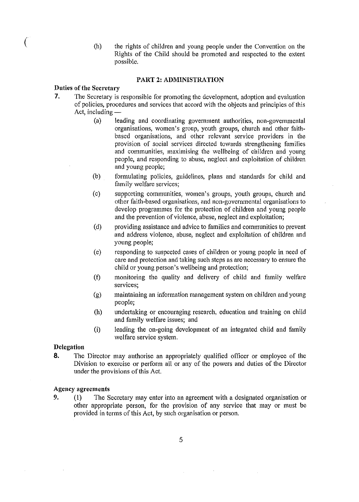( (h) the rights of children and young people under the Convention on the Rights of the Child should be promoted and respected to the extent possible.

#### PART 2: ADMINISTRATION

#### Duties of the Secretary

- 7. The Secretary is responsible for promoting thc development, adoption and evaluation of policies, procedures and services that accord with the objects and principles of this Act, including  $-$ 
	- (a) leading and coordinating government authorities, non-governmental organisations, women's group, youth groups, church and other faithbased organisations, and other relevant service providers in the provision of social services directed towards strengthening families and communities, maximising the wellbeing of children and young people, and responding to abuse, neglect and exploitation of children and young people;
	- (b) formulating policies, guidelines, plans and standards for child and family welfare services;
	- (c) supporting communities, women's groups, youth groups, church and other faith-based organisations, and non-governmental organisations to develop programmes for the protection of children and young people and the prevention of violence, abuse, neglect and exploitation;
	- (d) providing assistance and advice to families and communities to prevent and address violence, abuse, neglect and exploitation of children and young people;
	- (e) responding to suspected cases of children or young people in need of care and protection and taking such steps as are necessary to ensure the child or young person's wellbeing and protection;
	- (f) monitoring the quality and delivery of child and family welfare services;
	- (g) maintaining an information management system on children and young people;
	- (h) undertaking or encouraging research, education and training on child and family welfare issues; and
	- (i) leading the on-going development of an integrated child and family welfare service system.

#### Delegation

8. The Director may authorise an appropriately qualified officer or employee of the Division to exercise or perform all or any of the powers and duties of the Director under the provisions of this Act.

#### Agency agreements

9. (1) The Secretary may enter into an agreement with a designated organisation or other appropriate person, for the provision of any service that mayor must be provided in terms of this Act, by such organisation or person.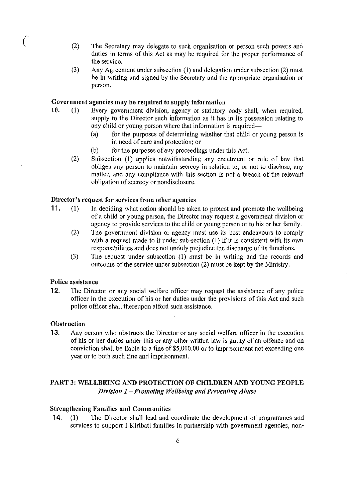- $(2)$ The Secretary may delegate to such organisation or person such powers and duties in terms of this Act as may be required for the proper performance of the service.
	- (3) Any Agreement under subsection (I) and delegation under subsection (2) must be in writing and signed by the Secretary and the appropriate organisation or person.

#### Government agencies may be required to supply information

- 10. (I) Every government division, agency or statutory body shall, when required, supply to the Director such information as it has in its possession relating to any child or young person where that information is required—
	- (a) for the purposes of determining whether that child or young person is in need of care and protection; or
	- (b) for the purposes of any proceedings under this Act.
	- (2) Subsection (1) applies notwithstanding any enactment or rule of law that obliges any person to maintain secrecy in relation to, or not to disclose, any matter, and any compliance with this section is not a breach of the relevant obligation of secrecy or nondisclosure.

## Director's request for services from other agencies

- 11. (1) In deciding what action should be taken to protect and promote the wellbeing of a child or young person, the Director may request a government division or agency to provide services to the child or young person or to his or her family.
	- (2) The government division or agency must use its best endeavours to comply with a request made to it under sub-section (1) if it is consistent with its own responsibilities and does not unduly prejudice the discharge of its functions.
	- (3) The request under subsection (1) must be in writing and the records and outcome of the service under subsection (2) must be kept by the Ministry.

#### Police assistance

12. The Director or any social welfare officer may request the assistance of any police officer in the execution of his or her duties under the provisions of this Act and such police officer shall thereupon afford such assistance.

#### **Obstruction**

**13.** Any person who obstructs the Director or any social welfare officer in the execution of his or her duties under this or any other written law is guilty of an offence and on conviction shall be liable to a fine of \$5,000.00 or to imprisonment not exceeding one year or to both such fine and imprisonment.

## PART 3: WELLBEING AND PROTECTION OF CHILDREN AND YOUNG PEOPLE *Division 1 - Promoting Wellbeing and Preventing Abuse*

#### Strengthening Families and Communities

**14.** (1) The Director shall lead and coordinate the development of programmes and services to support I-Kiribati families in partnership with government agencies, non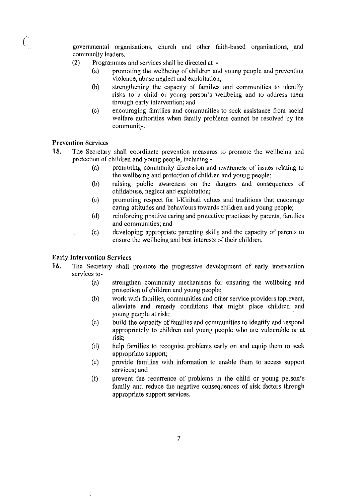*c* governmental organisations, church and other faith-based organisations, and community leaders.

- (2) Programmes and services shall be directed at
	- (a) promoting the wellbeing of children and young people and preventing violence, abuse neglect and exploitation;
	- (b) strengthening the capacity of families and communities to identify risks to a child or young person's wellbeing and to address them through early intervention; and
	- (c) encouraging families and communities to seek assistance from social welfare authorities when family problems cannot be resolved by the community.

## Prevention Services

- 15. The Secretary shall coordinate prevention measures to promote the wellbeing and protection of children and young people, including -
	- (a) promoting community discussion and awareness of issues relating to the wellbeing and protection of children and young people;
	- (b) raising public awareness on the dangers and consequences of childabuse, neglect and exploitation;
	- (c) promoting respect for I-Kiribati values and traditions that encourage caring attitudes and behaviours towards children and young people;
	- (d) reinforcing positive caring and protective practices by parents, families and communities; and
	- (e) developing appropriate parenting skills and the capacity of parents to ensure the wellbeing and best interests of their children.

## Early Intervention Services

- 16. The Secretary shall promote the progressive development of early intervention services to-
	- (a) strengthen community mechanisms for ensuring the wellbeing and protection of children and young people;
	- (b) work with families, communities and other service providers toprevent, alleviate and remedy conditions that might place children and young people at risk;
	- (c) build the capacity of families and communities to identify and respond appropriately to children and young people who are vulnerable or at risk;
	- (d) help families to recognise problems early on and equip them to seek appropriate support;
	- (e) provide families with information to enable them to access supp011 services; and
	- (f) prevent the recurrence of problems in the child or young person's family and reduce the negative consequences of risk factors through appropriate support services.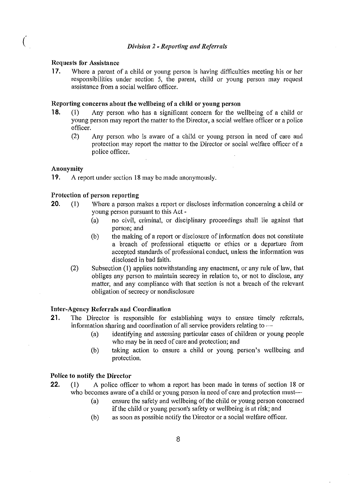#### Requests for Assistance

17. Where a parent of a child or young person is having difficulties meeting his or her responsibilities under section 5, the parent, child or young person may request assistance from a social welfare officer.

#### Reporting concerns about the wellbeing of a child or young person

- 18. (1) Any person who has a significant concern for the wellbeing of a child or young person may report the matter to the Director, a social welfare officer or a police officer.
	- (2) Any person who is aware of a child or young person in need of care and protection may report the matter to the Director or social welfare officer of a police officer.

#### Anonymity

**19.** A report under section 18 may be made anonymously.

## Protection of person reporting

- **20.** (1) Where a person makes a report or discloses information concerning a child or young person pursuant to this Act -
	- $(a)$  no civil, criminal, or disciplinary proceedings shall lie against that person; and
	- (b) the making of a report or disclosure of information does not constitute a breach of professional etiquette or ethics or a departure from accepted standards of professional conduct, unless the information was disclosed in bad faith.
	- (2) Subsection (1) applies notwithstanding any enactment, or any rule of law, that obliges any person to maintain secrecy in relation to, or not to disclose, any matter, and any compliance with that section is not a breach of the relevant obligation of secrecy or nondisclosure

## Inter-Agency Referrals and Coordination

- 21. The Director is responsible for establishing ways to ensure timely referrals, information sharing and coordination of all service providers relating to  $-$ 
	- (a) identifying and assessing particular cases of children or young people who may be in need of care and protection; and
	- (b) taking action to ensure a child or young person's wellbeing and protection.

#### Police to notify the Director

- 22. (1) A police officer to whom a report has been made in terms of section 18 or who becomes aware of a child or young person in need of care and protection must-
	- (a) ensure the safety and wellbeing of the child or young person concerned if the child or young person's safety or wellbeing is at risk; and
	- (b) as soon as possible notify the Director or a social welfare officer.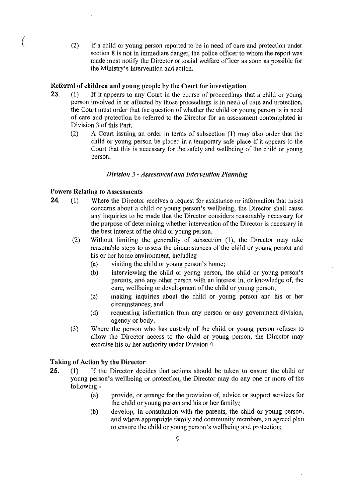( (2) if a child or young person reported to be in need of care and protection under section 8 is not in immediate danger, the police officer to whom the report was made must notifY the Director or social welfare officer as soon as possible for the Ministry's intervention and action.

#### Referral of children and young people by the Court for investigation

- 23. (1) If it appears to any Court in the course of proceedings that a child or young person involved in or affected by those proceedings is in need of care and protection, the Court must order that the question of whether the child or young person is in need of care and protection be referred to the Director for an assessment contemplated in Division 3 of this Part.
	- (2) A Court issuing an order in terms of subsection (1) may also order that the child or young person be placed in a temporary safe place if it appears to the Court that this is necessary for the safety and wellbeing of the child or young person.

## *Division* 3 - *Assessment and Intervention Plannillg*

#### Powers Relating to Assessments

- **24.** (1) Where the Director receives a request for assistance or information that raises concerns about a child or young person's wellbeing, the Director shall cause any inquiries to be made that the Director considers reasonably necessary for the purpose of determining whether intervention of the Director is necessary in the best interest of the child or young person.
	- (2) Without limiting the generality of subsection (1), the Director may take reasonable steps to assess the circumstances of the child or young person and his or her home environment, including -
		- (a) visiting the child or young person's home;
		- (b) interviewing the child or young person, the child or young person's parents, and any other person with an interest in, or knowledge of, the care, wellbeing or development of the child or young person;
		- (c) making inquiries about the child or young person and his or her circumstances; and
		- (d) requesting information from any person or any government division, agency or body.
	- (3) Where the person who has custody of the child or young person refuses to allow the Director access to the child or young person, the Director may exercise his or her authority under Division 4.

## Taking of Action by the Director

- 25. (1) If the Director decides that actions should be taken to ensure the child or young person's wellbeing or protection, the Director may do anyone or more of the following -
	- (a) provide, or arrange for the provision of, advice or support services for the child or young person and his or her family;
	- (b) develop, in consultation with the parents, the child or young person, and where appropriate family and community members, an agreed plan to ensure the child or young person's wellbeing and protection;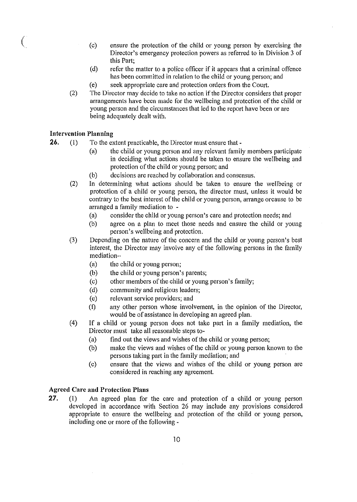- (c) ensure the protection of the child or young person by exercising the Director's emergency protection powers as referred to in Division 3 of this Part;
- (d) refer the matter to a police officer if it appears that a criminal offence has been committed in relation to the child or young person; and
- (e) seek appropriate care and protection orders from the Court.
- (2) The Director may decide to take no action if the Director considers that proper arrangements have been made for the wellbeing and protection of the child or young person and the circumstances that led to the report have been or are being adequately dealt with.

## Intervention Planning

 $\big(\big)$ 

- 26. (1) To the extent practicable, the Director must ensure that -
	- (a) the child or young person and any relevant family members participate in deciding what actions should be taken to ensure the wellbeing and protection of the child or young person; and
	- (b) decisions are reached by collaboration and consensus.
	- (2) In determining what actions should be taken to ensure the wellbeing or protection of a child or young person, the director must, unless it would be contrary to the best interest of the child or young person, arrange orcause to be arranged a family mediation to -
		- (a) consider the child or young person's care and protection needs; and
		- (b) agree on a plan to meet those needs and ensure the child or young person's wellbeing and protection.
	- (3) Depending on the nature of the concern and the child or young person's best interest, the Director may involve any of the following persons in the family mediation-
		- (a) the child or young person;
		- (b) the child or young person's parents;
		- (c) other members of the child or young person's family;
		- (d) community and religious leaders;
		- (e) relevant service providers; and
		- (f) any other person whose involvement, in the opinion of the Director, would be of assistance in developing an agreed plan.
	- $(4)$  If a child or young person does not take part in a family mediation, the Director must take all reasonable steps to-
		- (a) find out the views and wishes of the child or young person;
		- (b) make the views and wishes of the child or young person known to the persons taking part in the family mediation; and
		- (c) ensure that the views and wishes of the child or young person are considered in reaching any agreement.

## Agreed Care and Protection Plans

27. (1) An agreed plan for the care and protection of a child or young person developed in accordance with Section 26 may include any provisions considered appropriate to ensure the wellbeing and protection of the child or young person, including one or more of the following -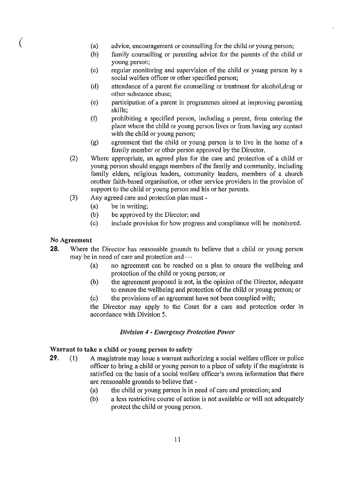- $\begin{pmatrix} 1 & 0 & 0 \\ 0 & 0 & 0 \\ 0 & 0 & 0 \\ 0 & 0 & 0 \\ 0 & 0 & 0 \\ 0 & 0 & 0 \\ 0 & 0 & 0 \\ 0 & 0 & 0 \\ 0 & 0 & 0 & 0 \\ 0 & 0 & 0 & 0 \\ 0 & 0 & 0 & 0 \\ 0 & 0 & 0 & 0 \\ 0 & 0 & 0 & 0 & 0 \\ 0 & 0 & 0 & 0 & 0 \\ 0 & 0 & 0 & 0 & 0 & 0 \\ 0 & 0 & 0 & 0 & 0 & 0 \\ 0 & 0 & 0 & 0 & 0 & 0 \\ 0 & 0 & 0 &$ advice, encouragement or counselling for the child or young person;
	- (b) family counselling or parenting advice for the parents of the child or young persoh;
	- (c) regular monitoring and supervision of the child or young person by a social welfare officer or other specified person;
	- (d) attendance of a parent for counselling or treatment for alcohol, drug or other substance abuse;
	- (e) pmticipation of a parent in programmes aimed at improving parenting skills;
	- (f) prohibiting a specified person, including a parent, from entering the place where the child or young person lives or from having any contact with the child or young person;
	- (g) agreement that the child or young person is to live in the home of a family member or other person approved by the Director.
	- (2) Where appropriate, an agreed plan for the care and protection of a child or young person should engage members of the family and community, including family elders, religious leaders, community leaders, members of a church orother faith-based organisation, or other service providers in the provision of suppott to the child or young person and his or her parents.
	- (3) Any agreed care and protection plan must-
		- (a) be in writing;
		- (b) be approved by the Director; and
		- (c) include provision for how progress and compliance will be monitored.

#### No Agreement

- 28. Where the Director has reasonable grounds to believe that a child or young person may be in need of care and protection and -
	- (a) no agreement can be reached on a plan to ensure the wellbeing and protection of the child or young person; or
	- (b) the agreement proposed is not, in the opinion of the Director, adequate to ensure the wellbeing and protection of the child or young person; or
	- (c) the provisions of an agreement have not been complied with;

the Director may apply to the Court for a care and protection order in accordance with Division 5.

#### *Division* 4 - *Emergency Protection Power*

#### Warrant to take a child or young person to safety

- 29. (1) A magistrate may issue a warrant authorizing a social welfare officer or police officer to bring a child or young person to a place of safety if the magistrate is satisfied on the basis of a social welfare officer's sworn information that there are reasonable grounds to believe that -
	- (a) the child or young person is in need of care and protection; and
	- (b) a less restrictive course of action is not available or will not adequately protect the child or young person.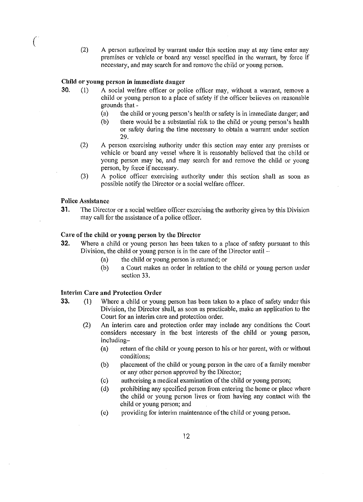(2) A person authorized by warrant under this section may at any time enter any premises or vehicle or board any vessel specified in the warrant, by force if necessary, and may search for and remove the child or young person.

## Child or young person in immediate danger

- 30. (I) A social welfare officer or police officer may, without a warrant, remove a child or young person to a place of safety if the officer believes on reasonable grounds that -
	- (a) the child or young person's health or safety is in immediate danger; and
	- (b) there would be a substantial risk to the child or young person's health or safety during the time necessary to obtain a warrant under section 29.
	- (2) A person exercising authority under this section may enter any premises or vehicle or board any vessel where it is reasonably believed that the child or young person may be, and may search for and remove the child or young person, by force if necessary.
	- (3) A police officer exercising authority under this section shall as soon as possible notify the Director or a social welfare officer.

## Police Assistance

(

31. The Director or a social welfare officer exercising the authority given by this Division may call for the assistance of a police officer.

#### Care of the child or young person by the Director

- 32. Where a child or young person has been taken to a place of safety pursuant to this Division, the child or young person is in the care of the Director until  $-$ 
	- (a) the child or young person is returned; or
	- (b) a Court makes an order in relation to the child or young person under section 33.

## Interim Care and Protection Order

- 33. (1) Where a child or young person has been taken to a place of safety under this Division, the Director shall, as soon as practicable, make an application to the Court for an interim care and protection order.
	- (2) An interim care and protection order may include any conditions the Court considers necessaty in the best interests of the child or young person, including-
		- (a) return of the child or young person to his or her parent, with or without conditions;
		- (b) placement of the child or young person in the care of a family member or any other person approved by the Director;
		- (c) authorising a medical examination of the child or young person;
		- (d) prohibiting any specified person from entering the home or place where the child or young person lives or from having any contact with the child or young person; and
		- (e) providing for interim maintenance of the child or young person.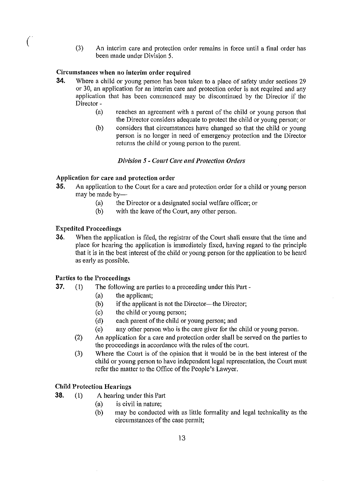( (3) An interim care and protection order remains in force until a final order has been made under Division 5.

## Circumstances when no interim order required

- 34. Where a child or young person has been taken to a place of safety under sections 29 or 30, an application for an interim care and protection order is not required and any application that has been commenced may be discontinued by the Director if the Director -
	- (a) reaches an agreement with a parent of the child or young person that the Director considers adequate to protect the child or young person; or
	- (b) considers that circumstances have changed so that the child or young person is no longer in need of emergency protection and the Director returns the child or young person to the parent.

## *Division* 5 - *COliI'I Care and Protection Orders*

## Application for care and protection order

- 35. An application to the Court for a care and protection order for a child or young person may be made by-
	- (a) the Director or a designated social welfare officer; or
	- (b) with the leave of the Court, any other person.

## Expedited Proceedings

36. When the application is filed, the registrar of the Court shall ensure that the time and place for hearing the application is immediately fixed, having regard to the principle that it is in the best interest of the child or young person for the application to be heard as early as possible.

## Parties to the Proceedings

- **37.** (1) The following are parties to a proceeding under this Part -
	- (a) the applicant;
	- (b) if the applicant is not the Director-the Director;
	- (c) the child or young person;
	- (d) each parent of the child or young person; and
	- (e) any other person who is the care giver for the child or young person.
	- (2) An application for a care and protection order shall be served on the parties to the proceedings in accordance with the rules of the court.
	- (3) Where the Court is of the opinion that it would be in the best interest of the child or young person to have independent legal representation, the Court must refer the matter to the Office of the People's Lawyer.

## Child Protection Hearings

- 38. (I) A hearing under this Part
	- (a) is civil in nature;
	- (b) may be conducted with as little formality and legal technicality as the circumstances of the case permit;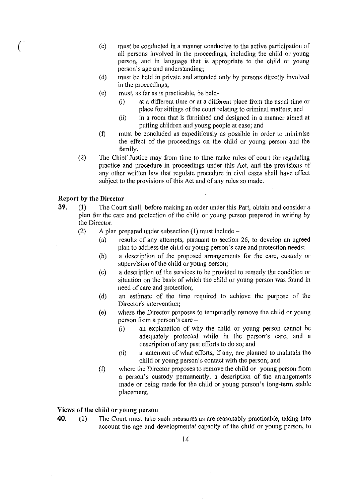- $\left( \begin{array}{ccc} \circ & & \circ \end{array} \right)$ must be conducted in a manner conducive to the active participation of all persons involved in the proceedings, including the child or young person, and in language that is appropriate to the child or young person's age and understanding;
	- (d) must be held in private and attended only by persons directly involved in the proceedings;
	- (e) Inust, as far as is practicable, be **held-**
		- $(i)$  at a different time or at a different place from the usual time or place for sittings of the court relating to criminal matters; and
		- (ii) in a room that is furnished and designed in a manner aimed at putting children and young people at ease; and
	- (f) must be concluded as expeditiously as possible in order to minimise the effect of the proceedings on the child or young person and the family.
	- (2) The Chief Justice may from time to time make rules of court for regulating practice and procedure in proceedings under this Act, and the provisions of any other written law that regulate procedure in civil cases shall have effect subject to the provisions of this Act and of any rules so made.

#### Report by the Director

- **39.** (1) The Court shall, before making an order under this Part, obtain and consider a plan for the care and protection of the child or young person prepared in writing by the Director.
	- (2) A plan prepared under subsection  $(1)$  must include  $-$ 
		- (a) results of any attempts, pursuant to section 26, to develop an agreed plan to address the child or young person's care and protection needs;
		- (b) a description of the proposed arrangements for the care, custody or supervision of the child or young person;
		- (c) a description of the services to be provided to remedy the condition 01' situation on the basis of which the child or young person was found in need of care and protection;
		- (d) an estimate of the time required to achieve the purpose of the Director's intervention;
		- (e) where the Director proposes to temporarily remove the child or young person from a person's care -
			- (i) an explanation of why the child or young person cannot be adequately protected while in the person's care, and a description of any past efforts to do so; and
			- (ii) a statement of what efforts, if any, are planned to maintain the child or young person's contact with the person; and
		- (f) where the Director proposes to remove the child or young person from a person's custody permanently, a description of the arrangements made or being made for the child or young person's long-term stable placement.

#### Views of the child or young person

40. (1) The Court must take such measures as are reasonably practicable, taking into account the age and developmental capacity of the child or young person, to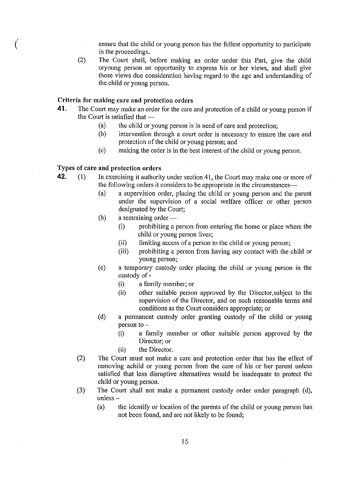- ensure that the child or young person has the fullest opportunity to participate in the proceedings.
- (2) The Court shall, before making an order under this Part, give the child oryoung person an oppotiunity to express his or her views, and shall give those views due consideration having regard to the age and understanding of the child or young person.

#### Criteria for making care and protection orders

- **41.** The Court may make an order for the care and protection of a child or young person if the Court is satisfied that  $-$ 
	- (a) the child or young person is in need of care and protection;<br>(b) intervention through a court order is necessary to ensure t
	- intervention through a court order is necessary to ensure the care and protection of the child or young person; and
	- (c) making the order is in the best interest of the child or young person.

## Types of care and protection orders

 $\bigl(\bigl[$ 

- **42.** (1) In exercising it authority under section 41, the Court may make one or more of the following orders it considers to be appropriate in the circumstances $\rightarrow$ 
	- (a) a supervision order, placing the child or young person and the parent under the supervision of a social welfare officer or other person designated by the Court;
	- $(b)$  a restraining order  $-$ 
		- (i) prohibiting a person from entering the home or place where the child or young person lives;
		- (ii) limiting access of a person to the child or young person;
		- (iii) prohibiting a person from having any contact with the child or young person;
	- (c) a temporary custody order placing the child or young person in the custody of-
		- (i) a family member; or
		- (ii) other suitable person approved by the Director,subject to the supervision of the Director, and on such reasonable terms and conditions as the Court considers appropriate; or
	- (d) a permanent custody order granting custody of the child or young person to  $-$ 
		- (i) a family member or other suitable person approved by the Director; or
		- (ii) the Director.
	- (2) The Court must not make a care and protection order that has the effect of removing achild or young person from the care of his or her parent unless satisfied that less disruptive alternatives would be inadequate to protect the child or young person.
	- (3) The Court shall not make a permanent custody order under paragraph (d),  $unless -$ 
		- (a) the identify or location of the parents of the child or young person has not been found, and are not likely to be found;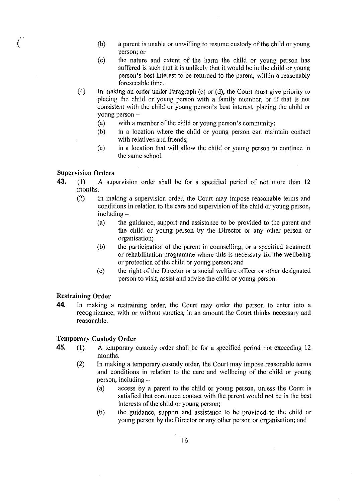- $(b)$  a parent is unable or unwilling to resume custody of the child or young person; or
- (c) the nature and extent of the harm the child or young person has suffered is such that it is unlikely that it would be in the child or young person's best interest to be returned to the parent, within a reasonably foreseeable time.
- (4) In making an order undcr Paragraph (c) or (d), the Court must give priority io placing the child or young pcrson with a family member, or if that is not consistent with the child or young person's best interest, placing the child or young person -
	- (a) with a member of the child or young person's community;
	- (b) in a location where the child or young person can maintain contact with relatives and friends;
	- (c) in a location that will allow the child or young person to continue in the same school.

## Supervision Orders

- 43. (1) A supervision order shall be for a specified period of not more than 12 months.
	- (2) In making a supervision order, the Court may impose reasonable terms and conditions in relation to the care and supervision of the child or young person,  $including -$ 
		- (a) the guidance, support and assistance to be provided to the parent and the child or young person by the Director or any other person or organisation;
		- (b) the patticipation of the parent in counselling, or a specified treatment or rehabilitation programme where this is necessary for the wellbeing or protection of the child or young person; and
		- (c) the right of the Director or a social welfare officer or other designated person to visit, assist and advise the child or young person.

#### Restraining Order

44. In making a restraining order, the Court may order the person to enter into a recognizance, with or without sureties, in an amount the Court thinks necessary and reasonable.

#### Temporary Custody Order

- 45. (1) A temporary custody order shall be for a specified period not exceeding 12 months.
	- (2) In making a temporary custody order, the Court may impose reasonable terms and conditions in relation to the care and wellbeing of the child or young person, including-
		- (a) access by a parent to the child or young person, unless the Court is satisfied that continued contact with the parent would not be in the best interests of the child or young person;
		- (b) the guidance, support and assistance to be provided to the child or young person by the Director or any other person or organisation; and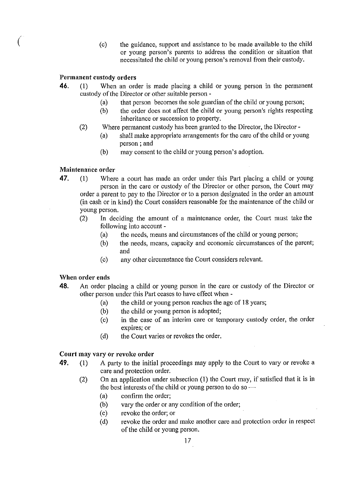(c) the guidance, support and assistance to be made available to the child or young person's parents to address the condition or situation that necessitated the child or young person's removal from their custody.

## Permanent custody orders

- 46. (1) When an order is made placing a child or young person in the permanent custody of the Director or other suitable person -
	- (a) that person becomes the sole guardian of the child or young person;
	- (b) the order does not affect the child or young person's rights respecting inheritance or succession to property.
	- (2) Where permanent custody has been granted to the Director, the Director
		- (a) shall make appropriate arrangements for the care of the child or young person; and
		- (b) may consent to the child or young person's adoption.

## Maintenance order

- 47. (1) Where a court has made an order under this Part placing a child or young person in the care or custody of the Director or other person, the Court may order a parent to pay to the Director or to a person designated in the order an amount (in cash or in kind) the Court considers reasonable for the maintenance of the child or young person.
	- (2) In deciding the amount of a maintenance order, the Court must take the following into account -
		- (a) the needs, means and circumstances of the child or young person;
		- (b) the needs, means, capacity and economic circumstances of the parent; and
		- (c) any other circumstance the Court considers relevant.

#### When order ends

- 48. An order placing a child or young person in the care or custody of the Director or other person under this Part ceases to have effect when -
	- (a) the child or young person reaches the age of 18 years;
	- (b) the child or young person is adopted;
	- (c) in the case of an interim care or temporary custody order, the order expires; or
	- (d) the Court varies or revokes the order.

## Court may vary or revoke order

- 49. (1) A party to the initial proceedings may apply to the Court to vary or revoke a care and protection order.
	- (2) On an application under subsection (1) the Court may, if satisfied that it is in the best interests of the child or young person to do so  $\rightarrow$ 
		- (a) confirm the order;
		- (b) vary the order or any condition of the order;
		- (c) revoke the order; or
		- (d) revoke the order and make another care and protection order in respect of the child or young person.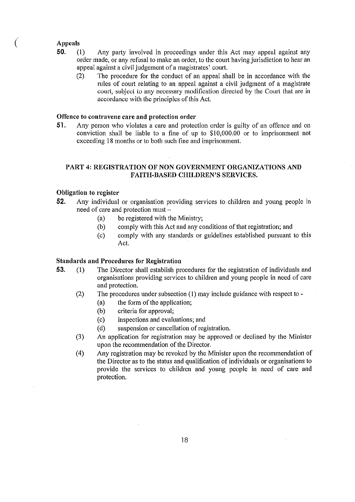# Appeals<br>50. (1)

- 50. (I) Any party involved in proceedings under this Act may appeal against any order made, or any refusal to make an order, to the court having jurisdiction to hear an appeal against a civil judgement of a magistrates' court.
	- (2) The procedure for the conduct of an appeal shall be in accordance with the rules of court relating to an appeal against a civil judgment of a magistrate court, subject to any necessary modification directed by (he Court (hat are in accordance with the principles of this Act.

## Offence to contravene care and protection order

51. Any person who violates a care and protection order is guilty of an offence and on conviction shall be liable to a fine of up to \$10,000.00 or to imprisonment not exceeding 18 months or to both such fine and imprisonment.

## PART 4: REGISTRATION OF NON GOVERNMENT ORGANIZATIONS AND FAITH-BASED CHILDREN'S SERVICES.

## Obligation to register

- 52. Any individual or organisation providing services to children and young people in need of care and protection must -
	- (a) be registered with the Ministry;
	- (b) comply with this Act and any conditions of that registration; and
	- (c) comply with any standards or guidelines established pursuant to this Act.

## Standards and Procedures for Registration

- 53. (I) The Director shall establish procedures for the registration of individuals and organisations providing services to children and young people in need of care and protection.
	- (2) The procedures under subsection (I) may include guidance with respect to -
		- (a) the form of the application;
		- (b) criteria for approval;
		- (c) inspections and evaluations; and
		- (d) suspension or cancellation of registration.
	- (3) An application for registration may be approved or declined by the Minister upon the recommendation of the Director.
	- (4) Any registration may be revoked by the Minister upon the recommendation of the Director as to the status and qualification of individuals or organisations to provide the services to children and young people in need of care and protection.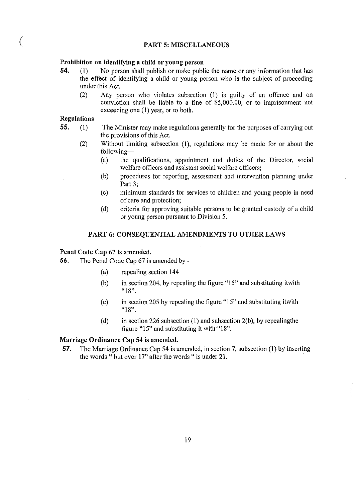#### PART 5: MISCELLANEOUS

#### Prohibition on identifying a child or young person

- 54. (1) No person shall publish or make public the name or any information that has the effect of identifYing a child or young person who is the subject of proceeding under this Act.
	- (2) Any person who violates subsection (1) is guilty of an offence and on conviction shall be liable to a tine of \$5,000.00, or to imprisonment not exceeding one  $(1)$  year, or to both.

## Regulations

- 55. (1) The Minister may make regulations generally for the purposes of carrying out the provisions of this Act.
	- (2) Without limiting subsection (1), regulations may be made for or about the following-
		- (a) the qualifications, appointment and duties of the Director, social welfare officers and assistant social welfare officers;
		- (b) procedures for reporting, assessment and intervention planning under Part 3;
		- (c) minimum standards for services to children and young people in need of care and protection;
		- (d) criteria for approving suitable persons to be granted custody of a child or young person pursuant to Division 5.

## PART 6: CONSEQUENTIAL AMENDMENTS TO OTHER LAWS

## Penal Code Cap 67 is amended.

- 56. The Penal Code Cap 67 is amended by
	- (a) repealing section 144
	- (b) in section 204, by repealing the figure "15" and substituting itwith **"18".**
	- (c) in section 205 by repealing the figure "15" and substituting itwith **"18".**
	- (d) in section 226 subsection (1) and subsection  $2(b)$ , by repealing the figure "15" and substituting it with "18".

#### Marriage Ordinance Cap 54 is amended.

57. The Marriage Ordinance Cap 54 is amended, in section 7, subsection (I) by insetting the words " but over 17" after the words " is under 21.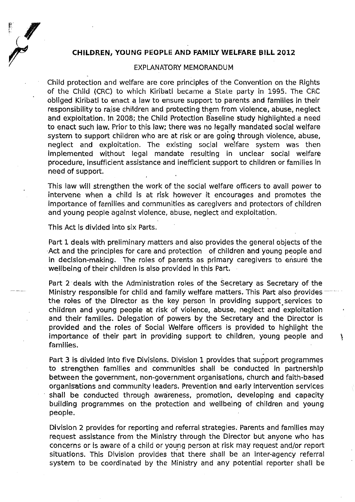## **CHILDREN, YOUNG PEOPLE AND FAMilY WELFARE BILL 2012**

#### EXPLANATORY MEMORANDUM

Child protection and welfare are core principles of the Convention on the Rights of the Child (CRC) to which Kiribati became a State party in 1995. The CRC obliged Kiribati to enact a law to ensure support to parents and families in their responsibility to raise children and protecting them from violence, abuse, neglect and exploitation. In 2008; the Child Protection Baseline study highlighted a need to enact such law. Prior to this law; there was no legally mandated social welfare system to support children who are at risk or are going through violence, abuse, neglect and exploitation. The existing social welfare system was then implemented without legal mandate resulting in unclear social welfare procedure, insufficient assistance and inefficient support to children or families In need of support.

This law will strengthen the work of the social welfare officers to avail power to intervene when a child is at risk however it encourages and promotes the importance of families and communities as caregivers and protectors of children and young people against violence, abuse, neglect and exploitation.

This Act is divided into six Parts.

Part 1 deals with preliminary matters and also provides the general objects of the Act and the principles for care and protection of children and young people and in decision-making. The roles of parents as primary caregivers to ensure the wellbeing of their children is also provided in this Part.

Part 2 deals with the Administration roles of the Secretary as Secretary of the Ministry responsible for child and family welfare matters. This Part also provides the roles of the Director as the key person in providing support services to children and young people at risk of violence, abuse, neglect and exploitation and their families. Delegation of powers by the Secretary and the Director is provided and the roles of Social Welfare officers is provided to highlight the importance of their part in providing support to children, young people and  $\ddot{\text{ }}$ families.

. Part 3 is divided into five Divisions. Division 1 provides that support programmes to strengthen families and communities shall be conducted in partnership between the government, non-government organisations, church and faith-based organisations and community leaders. Prevention and early intervention services shall be conducted through awareness, promotion, developing and capacity building programmes on the protection and wellbeing of children and young people.

Division 2 provides for reporting and referral strategies. Parents and families may request assistance from the Ministry through the Director but anyone who has concerns or is aware of a child or young person at risk may request and/or report situations. This Division provides that there shall be an inter-agency referral system to be coordinated by the Ministry and any potential reporter shall be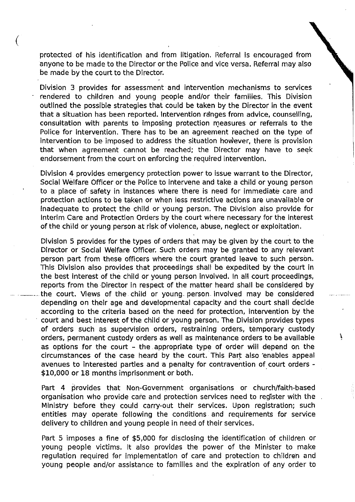protected of his identification and from litigation. Referral is encouraged from anyone to be made to the Director or the Police and vice versa. Referral may also be made by the court to the Director.

 $\big($ 

Division 3 provides for assessment· and intervention mechanisms to services rendered to children and young people and/or their families. This Division outlined the possible strategies that could be taken by the Director in the event that a situation has been reported. Intervention ranges from advice. counselling. consultation with parents to imposing protection measures or referrals to the Police for Intervention. There has to be an agreement reached on the type of intervention to be imposed to address the situation however. there is provision that when agreement cannot be reached; the Director may have to seek endorsement from the court on enforcing the required intervention.

Division 4 provides emergency protection power to issue warrant to the Director. Social Welfare Officer or the Police to intervene and take a child or young person to a place of- safety in instances where there is need for immediate care and protection actions to be taken or when less restrictive actions are unavailable or inadequate to protect the child or young person. The Division also provide for Interim Care and Protection Orders by the court where necessary for the interest of the child or young person at risk of violence. abuse. neglect or exploitation.

Division 5 provides for the types of orders that may be given by the court to the Director or Social Welfare Officer. Such orders may be granted to any relevant person part from these officers where the court granted leave to such person. This Division also provides that proceedings shall be expedited by the court in the best interest of the child or young person involved. In all court proceedings. reports from the Director in respect of the matter heard shall be considered by the court. Views of the child or young person involved may be considered depending on their age and developmental capacity and the court shall decide according to the criteria based on the need for protection. intervention by the . court and best interest of the child or young person. The Division provides types of orders such as supervision orders. restraining orders, temporary custody orders, permanent custody orders as well as maintenance orders to be available as options for the court - the appropriate type of order will depend on the circumstances of the case heard by the court. This Part also enables appeal avenues to Interested parties and a penalty for contravention of court orders - \$10.000 or 18 months imprisonment or both.

Part 4 provides that Non-Government organisations or church/faith-based organisation who provide care and protection services need to register with the Ministry before they could carry-out their services. Upon registration; such entities may operate following the conditions and requirements for service delivery to children and young people In need of their services.

Part 5 imposes a fine of \$5.000 for disclosing the identification of children or young people victims. It also provides the power of the Minister to make regulation required for implementation of care and protection to children and young people and/or assistance to families and the expiration of any order to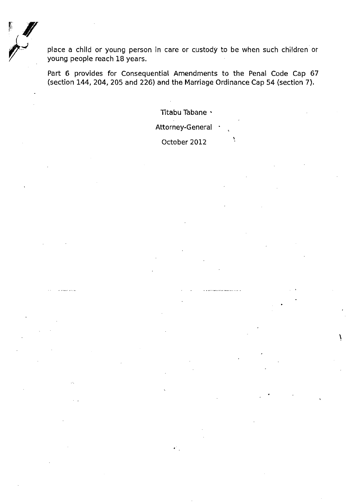place a child or young person in care or custody to be when such children or young people reach IB years.

Part 6 provides for Consequential Amendments to the Penal Code Cap 67 (section 144, 204, 205 and 226) and the Marriage Ordinance Cap 54 (section 7).

Titabu Tabane ·

Attorney-General .

October 2012

.